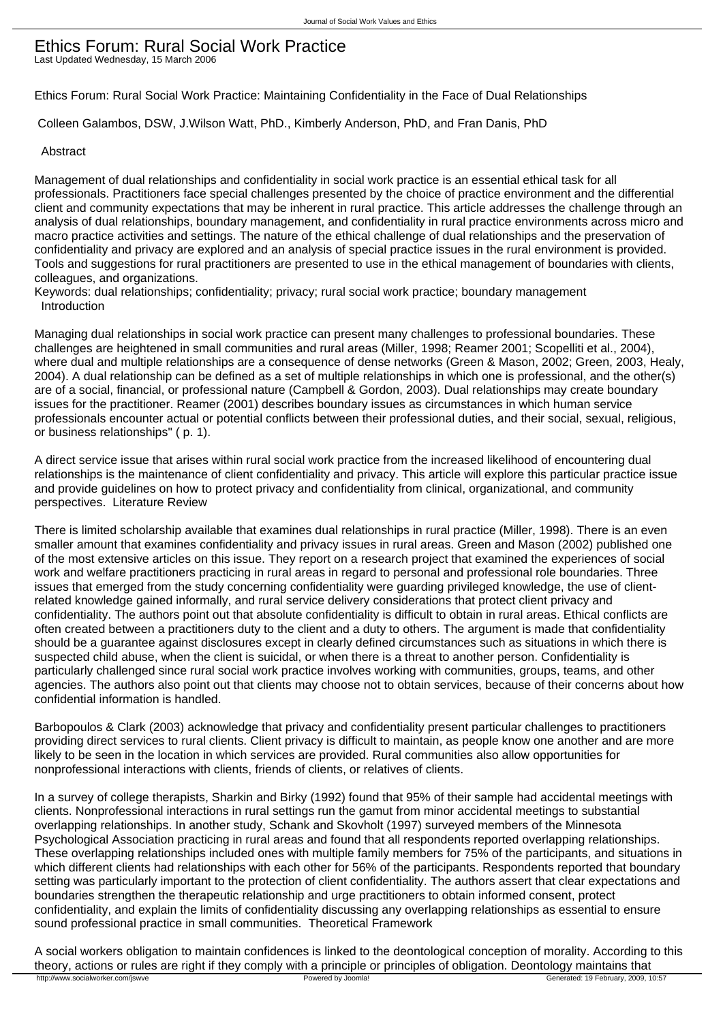## Ethics Forum: Rural Social Work Practice Last Updated Wednesday, 15 March 2006

Ethics Forum: Rural Social Work Practice: Maintaining Confidentiality in the Face of Dual Relationships

Colleen Galambos, DSW, J.Wilson Watt, PhD., Kimberly Anderson, PhD, and Fran Danis, PhD

#### Abstract

Management of dual relationships and confidentiality in social work practice is an essential ethical task for all professionals. Practitioners face special challenges presented by the choice of practice environment and the differential client and community expectations that may be inherent in rural practice. This article addresses the challenge through an analysis of dual relationships, boundary management, and confidentiality in rural practice environments across micro and macro practice activities and settings. The nature of the ethical challenge of dual relationships and the preservation of confidentiality and privacy are explored and an analysis of special practice issues in the rural environment is provided. Tools and suggestions for rural practitioners are presented to use in the ethical management of boundaries with clients, colleagues, and organizations.

Keywords: dual relationships; confidentiality; privacy; rural social work practice; boundary management Introduction

Managing dual relationships in social work practice can present many challenges to professional boundaries. These challenges are heightened in small communities and rural areas (Miller, 1998; Reamer 2001; Scopelliti et al., 2004), where dual and multiple relationships are a consequence of dense networks (Green & Mason, 2002; Green, 2003, Healy, 2004). A dual relationship can be defined as a set of multiple relationships in which one is professional, and the other(s) are of a social, financial, or professional nature (Campbell & Gordon, 2003). Dual relationships may create boundary issues for the practitioner. Reamer (2001) describes boundary issues as circumstances in which human service professionals encounter actual or potential conflicts between their professional duties, and their social, sexual, religious, or business relationships" ( p. 1).

A direct service issue that arises within rural social work practice from the increased likelihood of encountering dual relationships is the maintenance of client confidentiality and privacy. This article will explore this particular practice issue and provide guidelines on how to protect privacy and confidentiality from clinical, organizational, and community perspectives. Literature Review

There is limited scholarship available that examines dual relationships in rural practice (Miller, 1998). There is an even smaller amount that examines confidentiality and privacy issues in rural areas. Green and Mason (2002) published one of the most extensive articles on this issue. They report on a research project that examined the experiences of social work and welfare practitioners practicing in rural areas in regard to personal and professional role boundaries. Three issues that emerged from the study concerning confidentiality were guarding privileged knowledge, the use of clientrelated knowledge gained informally, and rural service delivery considerations that protect client privacy and confidentiality. The authors point out that absolute confidentiality is difficult to obtain in rural areas. Ethical conflicts are often created between a practitioners duty to the client and a duty to others. The argument is made that confidentiality should be a guarantee against disclosures except in clearly defined circumstances such as situations in which there is suspected child abuse, when the client is suicidal, or when there is a threat to another person. Confidentiality is particularly challenged since rural social work practice involves working with communities, groups, teams, and other agencies. The authors also point out that clients may choose not to obtain services, because of their concerns about how confidential information is handled.

Barbopoulos & Clark (2003) acknowledge that privacy and confidentiality present particular challenges to practitioners providing direct services to rural clients. Client privacy is difficult to maintain, as people know one another and are more likely to be seen in the location in which services are provided. Rural communities also allow opportunities for nonprofessional interactions with clients, friends of clients, or relatives of clients.

In a survey of college therapists, Sharkin and Birky (1992) found that 95% of their sample had accidental meetings with clients. Nonprofessional interactions in rural settings run the gamut from minor accidental meetings to substantial overlapping relationships. In another study, Schank and Skovholt (1997) surveyed members of the Minnesota Psychological Association practicing in rural areas and found that all respondents reported overlapping relationships. These overlapping relationships included ones with multiple family members for 75% of the participants, and situations in which different clients had relationships with each other for 56% of the participants. Respondents reported that boundary setting was particularly important to the protection of client confidentiality. The authors assert that clear expectations and boundaries strengthen the therapeutic relationship and urge practitioners to obtain informed consent, protect confidentiality, and explain the limits of confidentiality discussing any overlapping relationships as essential to ensure sound professional practice in small communities. Theoretical Framework

A social workers obligation to maintain confidences is linked to the deontological conception of morality. According to this theory, actions or rules are right if they comply with a principle or principles of obligation. Deontology maintains that http://www.socialworker.com/jswve<br>
Powered by Joomla!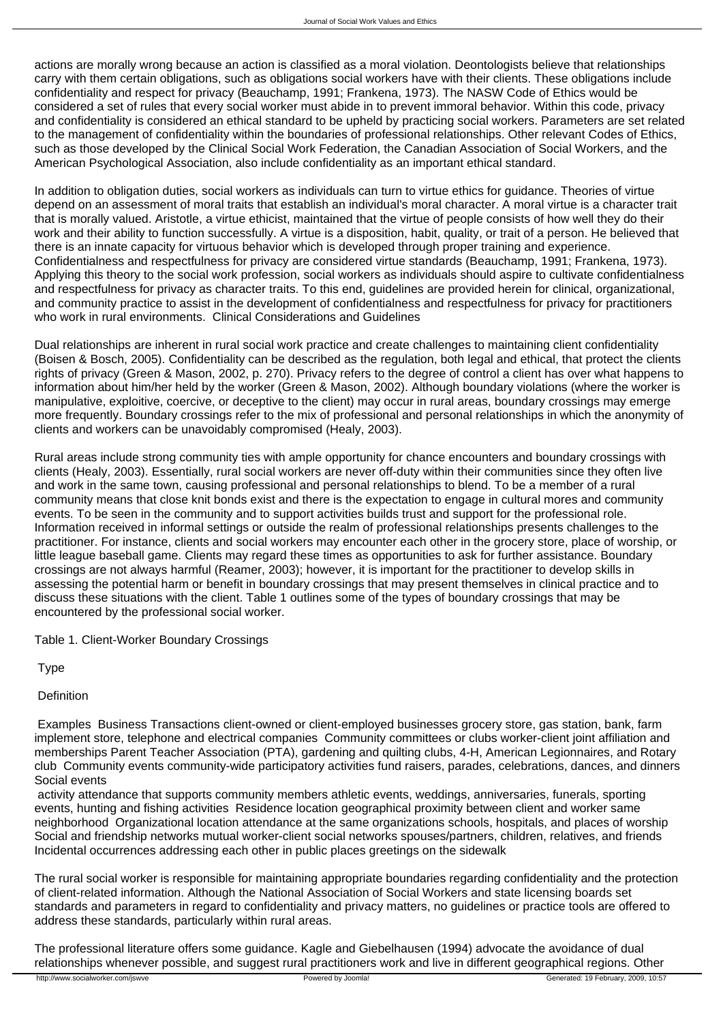actions are morally wrong because an action is classified as a moral violation. Deontologists believe that relationships carry with them certain obligations, such as obligations social workers have with their clients. These obligations include confidentiality and respect for privacy (Beauchamp, 1991; Frankena, 1973). The NASW Code of Ethics would be considered a set of rules that every social worker must abide in to prevent immoral behavior. Within this code, privacy and confidentiality is considered an ethical standard to be upheld by practicing social workers. Parameters are set related to the management of confidentiality within the boundaries of professional relationships. Other relevant Codes of Ethics, such as those developed by the Clinical Social Work Federation, the Canadian Association of Social Workers, and the American Psychological Association, also include confidentiality as an important ethical standard.

In addition to obligation duties, social workers as individuals can turn to virtue ethics for guidance. Theories of virtue depend on an assessment of moral traits that establish an individual's moral character. A moral virtue is a character trait that is morally valued. Aristotle, a virtue ethicist, maintained that the virtue of people consists of how well they do their work and their ability to function successfully. A virtue is a disposition, habit, quality, or trait of a person. He believed that there is an innate capacity for virtuous behavior which is developed through proper training and experience. Confidentialness and respectfulness for privacy are considered virtue standards (Beauchamp, 1991; Frankena, 1973). Applying this theory to the social work profession, social workers as individuals should aspire to cultivate confidentialness and respectfulness for privacy as character traits. To this end, guidelines are provided herein for clinical, organizational, and community practice to assist in the development of confidentialness and respectfulness for privacy for practitioners who work in rural environments. Clinical Considerations and Guidelines

Dual relationships are inherent in rural social work practice and create challenges to maintaining client confidentiality (Boisen & Bosch, 2005). Confidentiality can be described as the regulation, both legal and ethical, that protect the clients rights of privacy (Green & Mason, 2002, p. 270). Privacy refers to the degree of control a client has over what happens to information about him/her held by the worker (Green & Mason, 2002). Although boundary violations (where the worker is manipulative, exploitive, coercive, or deceptive to the client) may occur in rural areas, boundary crossings may emerge more frequently. Boundary crossings refer to the mix of professional and personal relationships in which the anonymity of clients and workers can be unavoidably compromised (Healy, 2003).

Rural areas include strong community ties with ample opportunity for chance encounters and boundary crossings with clients (Healy, 2003). Essentially, rural social workers are never off-duty within their communities since they often live and work in the same town, causing professional and personal relationships to blend. To be a member of a rural community means that close knit bonds exist and there is the expectation to engage in cultural mores and community events. To be seen in the community and to support activities builds trust and support for the professional role. Information received in informal settings or outside the realm of professional relationships presents challenges to the practitioner. For instance, clients and social workers may encounter each other in the grocery store, place of worship, or little league baseball game. Clients may regard these times as opportunities to ask for further assistance. Boundary crossings are not always harmful (Reamer, 2003); however, it is important for the practitioner to develop skills in assessing the potential harm or benefit in boundary crossings that may present themselves in clinical practice and to discuss these situations with the client. Table 1 outlines some of the types of boundary crossings that may be encountered by the professional social worker.

Table 1. Client-Worker Boundary Crossings

Type

Definition

 Examples Business Transactions client-owned or client-employed businesses grocery store, gas station, bank, farm implement store, telephone and electrical companies Community committees or clubs worker-client joint affiliation and memberships Parent Teacher Association (PTA), gardening and quilting clubs, 4-H, American Legionnaires, and Rotary club Community events community-wide participatory activities fund raisers, parades, celebrations, dances, and dinners Social events

 activity attendance that supports community members athletic events, weddings, anniversaries, funerals, sporting events, hunting and fishing activities Residence location geographical proximity between client and worker same neighborhood Organizational location attendance at the same organizations schools, hospitals, and places of worship Social and friendship networks mutual worker-client social networks spouses/partners, children, relatives, and friends Incidental occurrences addressing each other in public places greetings on the sidewalk

The rural social worker is responsible for maintaining appropriate boundaries regarding confidentiality and the protection of client-related information. Although the National Association of Social Workers and state licensing boards set standards and parameters in regard to confidentiality and privacy matters, no guidelines or practice tools are offered to address these standards, particularly within rural areas.

The professional literature offers some guidance. Kagle and Giebelhausen (1994) advocate the avoidance of dual relationships whenever possible, and suggest rural practitioners work and live in different geographical regions. Other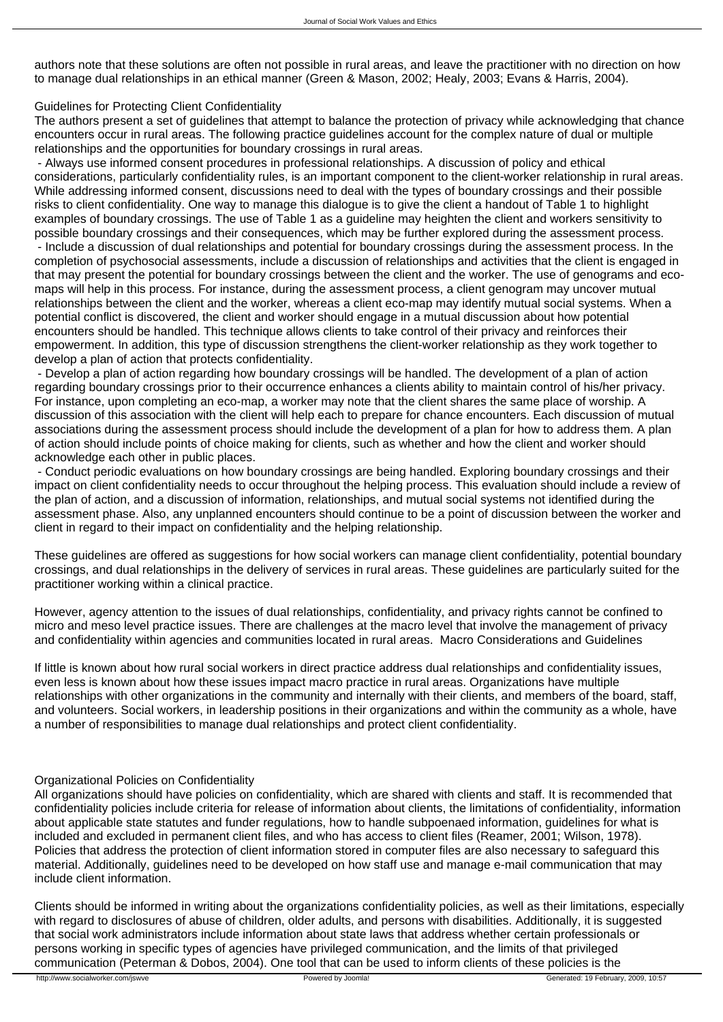authors note that these solutions are often not possible in rural areas, and leave the practitioner with no direction on how to manage dual relationships in an ethical manner (Green & Mason, 2002; Healy, 2003; Evans & Harris, 2004).

# Guidelines for Protecting Client Confidentiality

The authors present a set of guidelines that attempt to balance the protection of privacy while acknowledging that chance encounters occur in rural areas. The following practice guidelines account for the complex nature of dual or multiple relationships and the opportunities for boundary crossings in rural areas.

 - Always use informed consent procedures in professional relationships. A discussion of policy and ethical considerations, particularly confidentiality rules, is an important component to the client-worker relationship in rural areas. While addressing informed consent, discussions need to deal with the types of boundary crossings and their possible risks to client confidentiality. One way to manage this dialogue is to give the client a handout of Table 1 to highlight examples of boundary crossings. The use of Table 1 as a guideline may heighten the client and workers sensitivity to possible boundary crossings and their consequences, which may be further explored during the assessment process. - Include a discussion of dual relationships and potential for boundary crossings during the assessment process. In the completion of psychosocial assessments, include a discussion of relationships and activities that the client is engaged in that may present the potential for boundary crossings between the client and the worker. The use of genograms and ecomaps will help in this process. For instance, during the assessment process, a client genogram may uncover mutual relationships between the client and the worker, whereas a client eco-map may identify mutual social systems. When a potential conflict is discovered, the client and worker should engage in a mutual discussion about how potential encounters should be handled. This technique allows clients to take control of their privacy and reinforces their empowerment. In addition, this type of discussion strengthens the client-worker relationship as they work together to develop a plan of action that protects confidentiality.

 - Develop a plan of action regarding how boundary crossings will be handled. The development of a plan of action regarding boundary crossings prior to their occurrence enhances a clients ability to maintain control of his/her privacy. For instance, upon completing an eco-map, a worker may note that the client shares the same place of worship. A discussion of this association with the client will help each to prepare for chance encounters. Each discussion of mutual associations during the assessment process should include the development of a plan for how to address them. A plan of action should include points of choice making for clients, such as whether and how the client and worker should acknowledge each other in public places.

 - Conduct periodic evaluations on how boundary crossings are being handled. Exploring boundary crossings and their impact on client confidentiality needs to occur throughout the helping process. This evaluation should include a review of the plan of action, and a discussion of information, relationships, and mutual social systems not identified during the assessment phase. Also, any unplanned encounters should continue to be a point of discussion between the worker and client in regard to their impact on confidentiality and the helping relationship.

These guidelines are offered as suggestions for how social workers can manage client confidentiality, potential boundary crossings, and dual relationships in the delivery of services in rural areas. These guidelines are particularly suited for the practitioner working within a clinical practice.

However, agency attention to the issues of dual relationships, confidentiality, and privacy rights cannot be confined to micro and meso level practice issues. There are challenges at the macro level that involve the management of privacy and confidentiality within agencies and communities located in rural areas. Macro Considerations and Guidelines

If little is known about how rural social workers in direct practice address dual relationships and confidentiality issues, even less is known about how these issues impact macro practice in rural areas. Organizations have multiple relationships with other organizations in the community and internally with their clients, and members of the board, staff, and volunteers. Social workers, in leadership positions in their organizations and within the community as a whole, have a number of responsibilities to manage dual relationships and protect client confidentiality.

## Organizational Policies on Confidentiality

All organizations should have policies on confidentiality, which are shared with clients and staff. It is recommended that confidentiality policies include criteria for release of information about clients, the limitations of confidentiality, information about applicable state statutes and funder regulations, how to handle subpoenaed information, guidelines for what is included and excluded in permanent client files, and who has access to client files (Reamer, 2001; Wilson, 1978). Policies that address the protection of client information stored in computer files are also necessary to safeguard this material. Additionally, guidelines need to be developed on how staff use and manage e-mail communication that may include client information.

Clients should be informed in writing about the organizations confidentiality policies, as well as their limitations, especially with regard to disclosures of abuse of children, older adults, and persons with disabilities. Additionally, it is suggested that social work administrators include information about state laws that address whether certain professionals or persons working in specific types of agencies have privileged communication, and the limits of that privileged communication (Peterman & Dobos, 2004). One tool that can be used to inform clients of these policies is the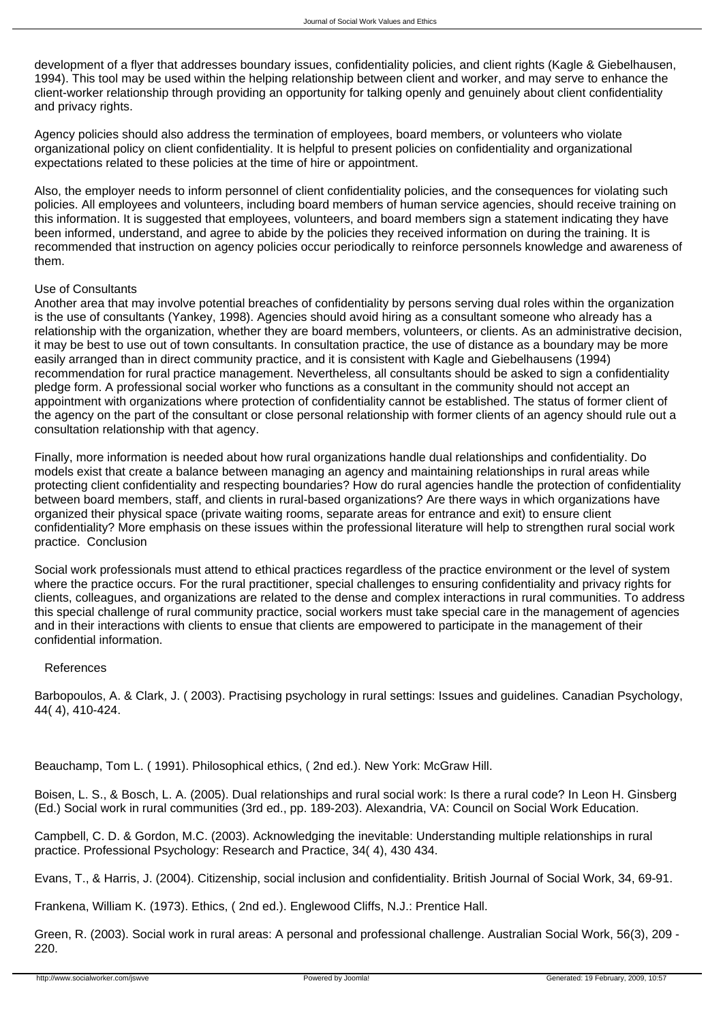development of a flyer that addresses boundary issues, confidentiality policies, and client rights (Kagle & Giebelhausen, 1994). This tool may be used within the helping relationship between client and worker, and may serve to enhance the client-worker relationship through providing an opportunity for talking openly and genuinely about client confidentiality and privacy rights.

Agency policies should also address the termination of employees, board members, or volunteers who violate organizational policy on client confidentiality. It is helpful to present policies on confidentiality and organizational expectations related to these policies at the time of hire or appointment.

Also, the employer needs to inform personnel of client confidentiality policies, and the consequences for violating such policies. All employees and volunteers, including board members of human service agencies, should receive training on this information. It is suggested that employees, volunteers, and board members sign a statement indicating they have been informed, understand, and agree to abide by the policies they received information on during the training. It is recommended that instruction on agency policies occur periodically to reinforce personnels knowledge and awareness of them.

## Use of Consultants

Another area that may involve potential breaches of confidentiality by persons serving dual roles within the organization is the use of consultants (Yankey, 1998). Agencies should avoid hiring as a consultant someone who already has a relationship with the organization, whether they are board members, volunteers, or clients. As an administrative decision, it may be best to use out of town consultants. In consultation practice, the use of distance as a boundary may be more easily arranged than in direct community practice, and it is consistent with Kagle and Giebelhausens (1994) recommendation for rural practice management. Nevertheless, all consultants should be asked to sign a confidentiality pledge form. A professional social worker who functions as a consultant in the community should not accept an appointment with organizations where protection of confidentiality cannot be established. The status of former client of the agency on the part of the consultant or close personal relationship with former clients of an agency should rule out a consultation relationship with that agency.

Finally, more information is needed about how rural organizations handle dual relationships and confidentiality. Do models exist that create a balance between managing an agency and maintaining relationships in rural areas while protecting client confidentiality and respecting boundaries? How do rural agencies handle the protection of confidentiality between board members, staff, and clients in rural-based organizations? Are there ways in which organizations have organized their physical space (private waiting rooms, separate areas for entrance and exit) to ensure client confidentiality? More emphasis on these issues within the professional literature will help to strengthen rural social work practice. Conclusion

Social work professionals must attend to ethical practices regardless of the practice environment or the level of system where the practice occurs. For the rural practitioner, special challenges to ensuring confidentiality and privacy rights for clients, colleagues, and organizations are related to the dense and complex interactions in rural communities. To address this special challenge of rural community practice, social workers must take special care in the management of agencies and in their interactions with clients to ensue that clients are empowered to participate in the management of their confidential information.

## References

Barbopoulos, A. & Clark, J. ( 2003). Practising psychology in rural settings: Issues and guidelines. Canadian Psychology, 44( 4), 410-424.

Beauchamp, Tom L. ( 1991). Philosophical ethics, ( 2nd ed.). New York: McGraw Hill.

Boisen, L. S., & Bosch, L. A. (2005). Dual relationships and rural social work: Is there a rural code? In Leon H. Ginsberg (Ed.) Social work in rural communities (3rd ed., pp. 189-203). Alexandria, VA: Council on Social Work Education.

Campbell, C. D. & Gordon, M.C. (2003). Acknowledging the inevitable: Understanding multiple relationships in rural practice. Professional Psychology: Research and Practice, 34( 4), 430 434.

Evans, T., & Harris, J. (2004). Citizenship, social inclusion and confidentiality. British Journal of Social Work, 34, 69-91.

Frankena, William K. (1973). Ethics, ( 2nd ed.). Englewood Cliffs, N.J.: Prentice Hall.

Green, R. (2003). Social work in rural areas: A personal and professional challenge. Australian Social Work, 56(3), 209 - 220.